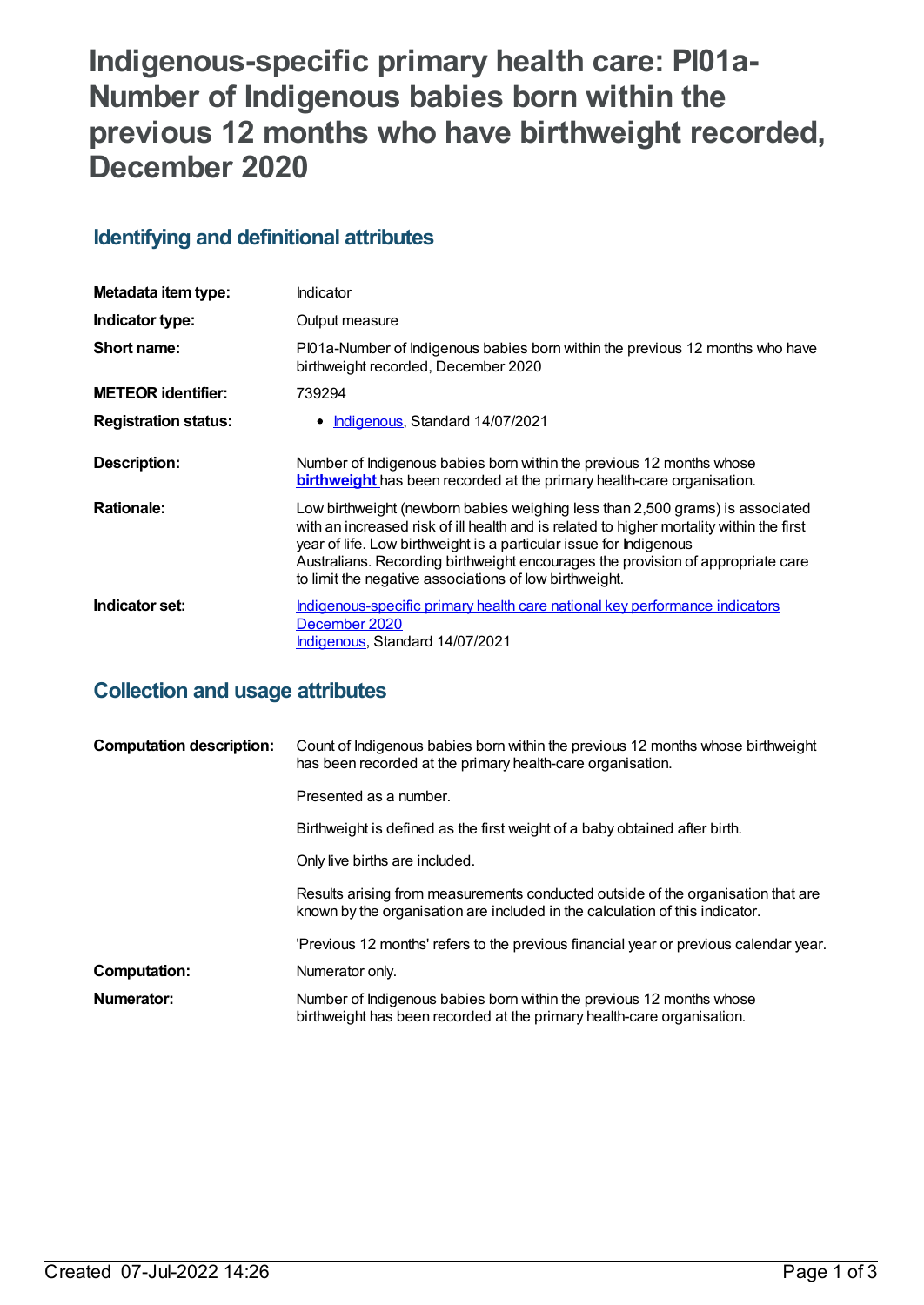# **Indigenous-specific primary health care: PI01a-Number of Indigenous babies born within the previous 12 months who have birthweight recorded, December 2020**

## **Identifying and definitional attributes**

| Metadata item type:         | Indicator                                                                                                                                                                                                                                                                                                                                                                                    |
|-----------------------------|----------------------------------------------------------------------------------------------------------------------------------------------------------------------------------------------------------------------------------------------------------------------------------------------------------------------------------------------------------------------------------------------|
| Indicator type:             | Output measure                                                                                                                                                                                                                                                                                                                                                                               |
| Short name:                 | Pl01a-Number of Indigenous babies born within the previous 12 months who have<br>birthweight recorded, December 2020                                                                                                                                                                                                                                                                         |
| <b>METEOR identifier:</b>   | 739294                                                                                                                                                                                                                                                                                                                                                                                       |
| <b>Registration status:</b> | <b>Indigenous, Standard 14/07/2021</b><br>$\bullet$                                                                                                                                                                                                                                                                                                                                          |
| Description:                | Number of Indigenous babies born within the previous 12 months whose<br><b>birthweight</b> has been recorded at the primary health-care organisation.                                                                                                                                                                                                                                        |
| <b>Rationale:</b>           | Low birthweight (newborn babies weighing less than 2,500 grams) is associated<br>with an increased risk of ill health and is related to higher mortality within the first<br>year of life. Low birthweight is a particular issue for Indigenous<br>Australians. Recording birthweight encourages the provision of appropriate care<br>to limit the negative associations of low birthweight. |
| Indicator set:              | Indigenous-specific primary health care national key performance indicators<br>December 2020<br>Indigenous, Standard 14/07/2021                                                                                                                                                                                                                                                              |

## **Collection and usage attributes**

| <b>Computation description:</b> | Count of Indigenous babies born within the previous 12 months whose birthweight<br>has been recorded at the primary health-care organisation.                    |
|---------------------------------|------------------------------------------------------------------------------------------------------------------------------------------------------------------|
|                                 | Presented as a number.                                                                                                                                           |
|                                 | Birthweight is defined as the first weight of a baby obtained after birth.                                                                                       |
|                                 | Only live births are included.                                                                                                                                   |
|                                 | Results arising from measurements conducted outside of the organisation that are<br>known by the organisation are included in the calculation of this indicator. |
|                                 | 'Previous 12 months' refers to the previous financial year or previous calendar year.                                                                            |
| <b>Computation:</b>             | Numerator only.                                                                                                                                                  |
| Numerator:                      | Number of Indigenous babies born within the previous 12 months whose<br>birthweight has been recorded at the primary health-care organisation.                   |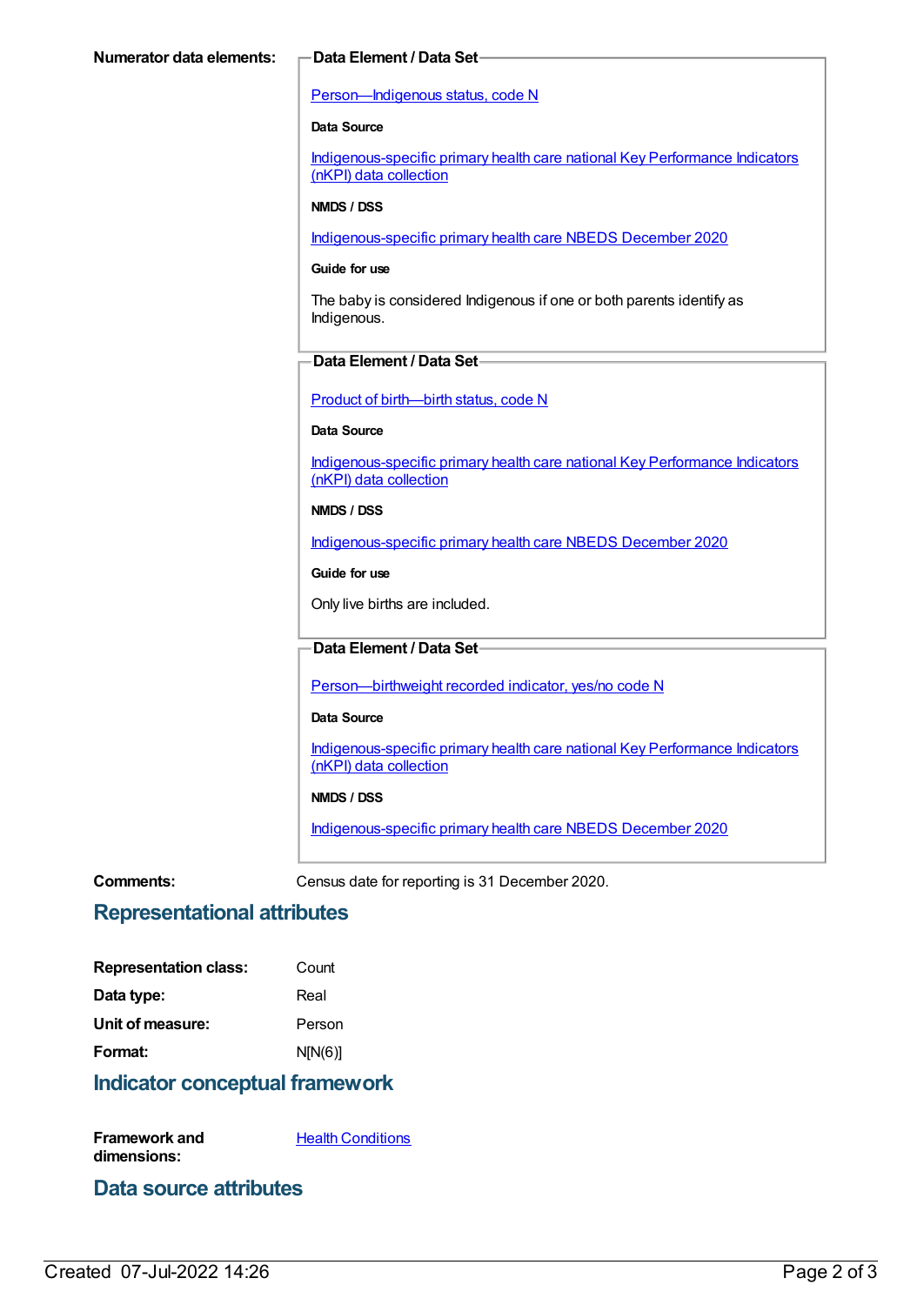#### [Person—Indigenous](https://meteor.aihw.gov.au/content/602543) status, code N

#### **Data Source**

[Indigenous-specific](https://meteor.aihw.gov.au/content/737914) primary health care national Key Performance Indicators (nKPI) data collection

#### **NMDS / DSS**

[Indigenous-specific](https://meteor.aihw.gov.au/content/738532) primary health care NBEDS December 2020

#### **Guide for use**

The baby is considered Indigenous if one or both parents identify as Indigenous.

#### **Data Element / Data Set**

Product of [birth—birth](https://meteor.aihw.gov.au/content/695437) status, code N

#### **Data Source**

[Indigenous-specific](https://meteor.aihw.gov.au/content/737914) primary health care national Key Performance Indicators (nKPI) data collection

#### **NMDS / DSS**

[Indigenous-specific](https://meteor.aihw.gov.au/content/738532) primary health care NBEDS December 2020

#### **Guide for use**

Only live births are included.

#### **Data Element / Data Set**

[Person—birthweight](https://meteor.aihw.gov.au/content/709571) recorded indicator, yes/no code N

#### **Data Source**

[Indigenous-specific](https://meteor.aihw.gov.au/content/737914) primary health care national Key Performance Indicators (nKPI) data collection

#### **NMDS / DSS**

[Indigenous-specific](https://meteor.aihw.gov.au/content/738532) primary health care NBEDS December 2020

**Comments:** Census date for reporting is 31 December 2020.

### **Representational attributes**

| <b>Representation class:</b> | Count   |
|------------------------------|---------|
| Data type:                   | Real    |
| Unit of measure:             | Person  |
| Format:                      | N[N(6)] |

#### **Indicator conceptual framework**

**Framework and dimensions: Health [Conditions](https://meteor.aihw.gov.au/content/410650)** 

### **Data source attributes**